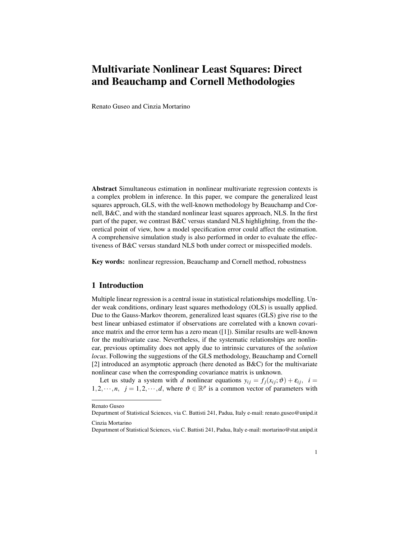# Multivariate Nonlinear Least Squares: Direct and Beauchamp and Cornell Methodologies

Renato Guseo and Cinzia Mortarino

Abstract Simultaneous estimation in nonlinear multivariate regression contexts is a complex problem in inference. In this paper, we compare the generalized least squares approach, GLS, with the well-known methodology by Beauchamp and Cornell, B&C, and with the standard nonlinear least squares approach, NLS. In the first part of the paper, we contrast B&C versus standard NLS highlighting, from the theoretical point of view, how a model specification error could affect the estimation. A comprehensive simulation study is also performed in order to evaluate the effectiveness of B&C versus standard NLS both under correct or misspecified models.

Key words: nonlinear regression, Beauchamp and Cornell method, robustness

### 1 Introduction

Multiple linear regression is a central issue in statistical relationships modelling. Under weak conditions, ordinary least squares methodology (OLS) is usually applied. Due to the Gauss-Markov theorem, generalized least squares (GLS) give rise to the best linear unbiased estimator if observations are correlated with a known covariance matrix and the error term has a zero mean ([1]). Similar results are well-known for the multivariate case. Nevertheless, if the systematic relationships are nonlinear, previous optimality does not apply due to intrinsic curvatures of the *solution locus*. Following the suggestions of the GLS methodology, Beauchamp and Cornell [2] introduced an asymptotic approach (here denoted as  $B\&C$ ) for the multivariate nonlinear case when the corresponding covariance matrix is unknown.

Let us study a system with *d* nonlinear equations  $y_{ij} = f_j(x_{ij}; \vartheta) + \varepsilon_{ij}$ ,  $i =$ 1,2,  $\dots, n$ ,  $j = 1, 2, \dots, d$ , where  $\vartheta \in \mathbb{R}^p$  is a common vector of parameters with

Renato Guseo

Department of Statistical Sciences, via C. Battisti 241, Padua, Italy e-mail: renato.guseo@unipd.it

Cinzia Mortarino

Department of Statistical Sciences, via C. Battisti 241, Padua, Italy e-mail: mortarino@stat.unipd.it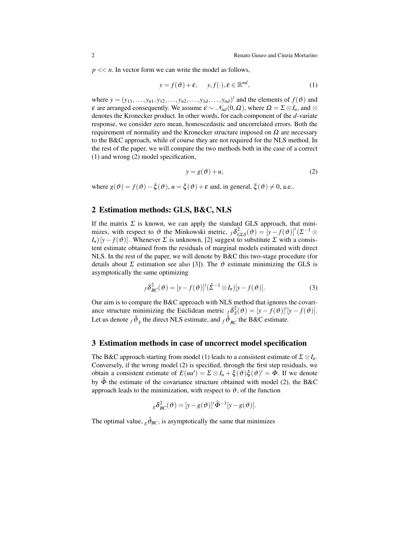$p \ll n$ . In vector form we can write the model as follows,

$$
y = f(\mathfrak{G}) + \varepsilon, \quad y, f(\cdot), \varepsilon \in \mathbb{R}^{nd}, \tag{1}
$$

where  $y = (y_{11}, \ldots, y_{n1}, y_{12}, \ldots, y_{n2}, \ldots, y_{1d}, \ldots, y_{nd})'$  and the elements of  $f(\vartheta)$  and  $\varepsilon$  are arranged consequently. We assume  $\varepsilon \sim \mathcal{N}_{nd}(0, \Omega)$ , where  $\Omega = \Sigma \otimes I_n$ , and  $\otimes$ denotes the Kronecker product. In other words, for each component of the *d*-variate response, we consider zero mean, homoscedastic and uncorrelated errors. Both the requirement of normality and the Kronecker structure imposed on  $\Omega$  are necessary to the B&C approach, while of course they are not required for the NLS method. In the rest of the paper, we will compare the two methods both in the case of a correct (1) and wrong (2) model specification,

$$
y = g(\vartheta) + u,\tag{2}
$$

where  $g(\vartheta) = f(\vartheta) - \xi(\vartheta)$ ,  $u = \xi(\vartheta) + \varepsilon$  and, in general,  $\xi(\vartheta) \neq 0$ , a.e..

## 2 Estimation methods: GLS, B&C, NLS

If the matrix  $\Sigma$  is known, we can apply the standard GLS approach, that minimizes, with respect to  $\vartheta$  the Minkowski metric,  $f \delta_{GLS}^2(\vartheta) = [y - f(\vartheta)]' (\Sigma^{-1} \otimes$  $I_n$ [*y*− *f*( $\vartheta$ )]. Whenever  $\Sigma$  is unknown, [2] suggest to substitute  $\Sigma$  with a consistent estimate obtained from the residuals of marginal models estimated with direct NLS. In the rest of the paper, we will denote by B&C this two-stage procedure (for details about  $\Sigma$  estimation see also [3]). The  $\vartheta$  estimate minimizing the GLS is asymptotically the same optimizing

$$
f\delta_{BC}^2(\vartheta) = [y - f(\vartheta)]'(\hat{\Sigma}^{-1} \otimes I_n)[y - f(\vartheta)].
$$
\n(3)

Our aim is to compare the B&C approach with NLS method that ignores the covariance structure minimizing the Euclidean metric  ${}_{f}\delta_{S}^{2}(\vartheta) = [y - f(\vartheta)]'[y - f(\vartheta)].$ Let us denote  $_f \hat{\vartheta}_S$  the direct NLS estimate, and  $_f \hat{\vartheta}_{BC}$  the B&C estimate.

#### 3 Estimation methods in case of uncorrect model specification

The B&C approach starting from model (1) leads to a consistent estimate of  $\Sigma \otimes I_n$ . Conversely, if the wrong model (2) is specified, through the first step residuals, we obtain a consistent estimate of  $E(uu') = \Sigma \otimes I_n + \xi(\vartheta)\xi(\vartheta)' = \Phi$ . If we denote by  $\widehat{\Phi}$  the estimate of the covariance structure obtained with model (2), the B&C approach leads to the minimization, with respect to  $\vartheta$ , of the function

$$
{}_{g}\delta_{BC}^{2}(\boldsymbol{\vartheta})=[y-g(\boldsymbol{\vartheta})]'\widehat{\boldsymbol{\Phi}}^{-1}[y-g(\boldsymbol{\vartheta})].
$$

The optimal value,  $g\hat{\theta}_{BC}$ , is asymptotically the same that minimizes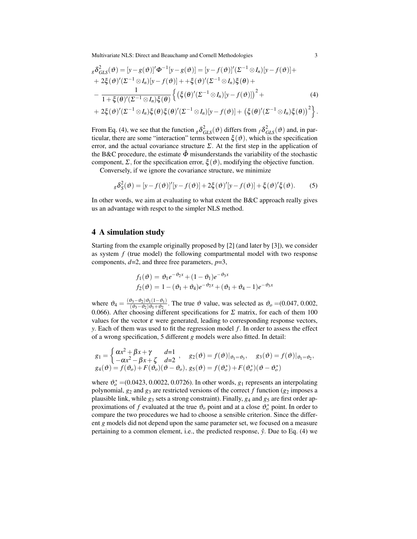Multivariate NLS: Direct and Beauchamp and Cornell Methodologies 3

$$
{}_{g}\delta_{GLS}^{2}(\vartheta) = [y - g(\vartheta)]'\Phi^{-1}[y - g(\vartheta)] = [y - f(\vartheta)]'( \Sigma^{-1} \otimes I_{n})[y - f(\vartheta)] ++ 2\xi(\vartheta)'(\Sigma^{-1} \otimes I_{n})[y - f(\vartheta)] + + \xi(\vartheta)'(\Sigma^{-1} \otimes I_{n})\xi(\theta) +- \frac{1}{1 + \xi(\theta)'(\Sigma^{-1} \otimes I_{n})\xi(\theta)} \left\{ \left( \xi(\theta)'(\Sigma^{-1} \otimes I_{n})[y - f(\vartheta)] \right)^{2} ++ 2\xi(\vartheta)'(\Sigma^{-1} \otimes I_{n})\xi(\theta)\xi(\theta)'(\Sigma^{-1} \otimes I_{n})[y - f(\vartheta)] + \left( \xi(\theta)'(\Sigma^{-1} \otimes I_{n})\xi(\theta) \right)^{2} \right\}.
$$
 (4)

From Eq. (4), we see that the function  ${}_{g}\delta^2_{GLS}(\vartheta)$  differs from  ${}_{f}\delta^2_{GLS}(\vartheta)$  and, in particular, there are some "interaction" terms between  $\xi(\vartheta)$ , which is the specification error, and the actual covariance structure  $\Sigma$ . At the first step in the application of the B&C procedure, the estimate  $\Phi$  misunderstands the variability of the stochastic component,  $\Sigma$ , for the specification error,  $\xi(\vartheta)$ , modifying the objective function.

Conversely, if we ignore the covariance structure, we minimize

$$
{}_{g}\delta_{S}^{2}(\vartheta) = [y - f(\vartheta)]'[y - f(\vartheta)] + 2\xi(\vartheta)'[y - f(\vartheta)] + \xi(\vartheta)'\xi(\vartheta). \tag{5}
$$

In other words, we aim at evaluating to what extent the B&C approach really gives us an advantage with respct to the simpler NLS method.

## 4 A simulation study

Starting from the example originally proposed by [2] (and later by [3]), we consider as system *f* (true model) the following compartmental model with two response components, *d*=2, and three free parameters, *p*=3,

$$
f_1(\vartheta) = \vartheta_1 e^{-\vartheta_2 x} + (1 - \vartheta_1) e^{-\vartheta_3 x}
$$
  

$$
f_2(\vartheta) = 1 - (\vartheta_1 + \vartheta_4) e^{-\vartheta_2 x} + (\vartheta_1 + \vartheta_4 - 1) e^{-\vartheta_3 x}
$$

where  $\vartheta_4 = \frac{(\vartheta_3 - \vartheta_2)\vartheta_1(1-\vartheta_1)}{(\vartheta_2 - \vartheta_2)\vartheta_1 + \vartheta_2}$  $\frac{(b_3-b_2)v_1(1-v_1)}{(\vartheta_3-\vartheta_2)\vartheta_1+\vartheta_2}$ . The true  $\vartheta$  value, was selected as  $\vartheta_o = (0.047, 0.002, \vartheta_1+\vartheta_2)$ 0.066). After choosing different specifications for  $\Sigma$  matrix, for each of them 100 values for the vector  $\varepsilon$  were generated, leading to corresponding response vectors, *y*. Each of them was used to fit the regression model *f*. In order to assess the effect of a wrong specification, 5 different *g* models were also fitted. In detail:

$$
g_1 = \begin{cases} \alpha x^2 + \beta x + \gamma & d=1\\ -\alpha x^2 - \beta x + \zeta & d=2 \end{cases}, \quad g_2(\vartheta) = f(\vartheta)|_{\vartheta_1 = \vartheta_3}, \quad g_3(\vartheta) = f(\vartheta)|_{\vartheta_1 = \vartheta_2},
$$
  

$$
g_4(\vartheta) = f(\vartheta_0) + F(\vartheta_0)(\vartheta - \vartheta_0), \quad g_5(\vartheta) = f(\vartheta_0^*) + F(\vartheta_0^*)(\vartheta - \vartheta_0^*)
$$

where  $\mathfrak{v}_o^*$  = (0.0423, 0.0022, 0.0726). In other words,  $g_1$  represents an interpolating polynomial,  $g_2$  and  $g_3$  are restricted versions of the correct  $f$  function ( $g_2$  imposes a plausible link, while *g*<sup>3</sup> sets a strong constraint). Finally, *g*<sup>4</sup> and *g*<sup>5</sup> are first order approximations of *f* evaluated at the true  $\vartheta_o$  point and at a close  $\vartheta_o^*$  point. In order to compare the two procedures we had to choose a sensible criterion. Since the different *g* models did not depend upon the same parameter set, we focused on a measure pertaining to a common element, i.e., the predicted response,  $\hat{y}$ . Due to Eq. (4) we